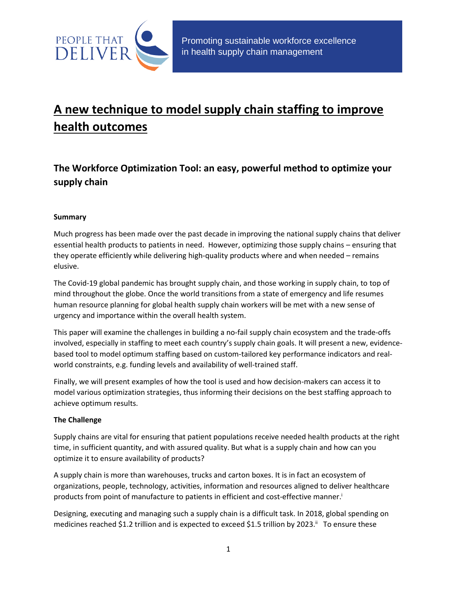

# **A new technique to model supply chain staffing to improve health outcomes**

# **The Workforce Optimization Tool: an easy, powerful method to optimize your supply chain**

### **Summary**

Much progress has been made over the past decade in improving the national supply chains that deliver essential health products to patients in need. However, optimizing those supply chains – ensuring that they operate efficiently while delivering high-quality products where and when needed – remains elusive.

The Covid-19 global pandemic has brought supply chain, and those working in supply chain, to top of mind throughout the globe. Once the world transitions from a state of emergency and life resumes human resource planning for global health supply chain workers will be met with a new sense of urgency and importance within the overall health system.

This paper will examine the challenges in building a no-fail supply chain ecosystem and the trade-offs involved, especially in staffing to meet each country's supply chain goals. It will present a new, evidencebased tool to model optimum staffing based on custom-tailored key performance indicators and realworld constraints, e.g. funding levels and availability of well-trained staff.

Finally, we will present examples of how the tool is used and how decision-makers can access it to model various optimization strategies, thus informing their decisions on the best staffing approach to achieve optimum results.

### **The Challenge**

Supply chains are vital for ensuring that patient populations receive needed health products at the right time, in sufficient quantity, and with assured quality. But what is a supply chain and how can you optimize it to ensure availability of products?

A supply chain is more than warehouses, trucks and carton boxes. It is in fact an ecosystem of organizations, people, technology, activities, information and resources aligned to deliver healthcare products from point of manufacture to patients in efficient and cost-effective manner.<sup>i</sup>

Designing, executing and managing such a supply chain is a difficult task. In 2018, global spending on medicines reached \$1.2 trillion and is expected to exceed \$1.5 trillion by 2023.<sup>ii</sup> To ensure these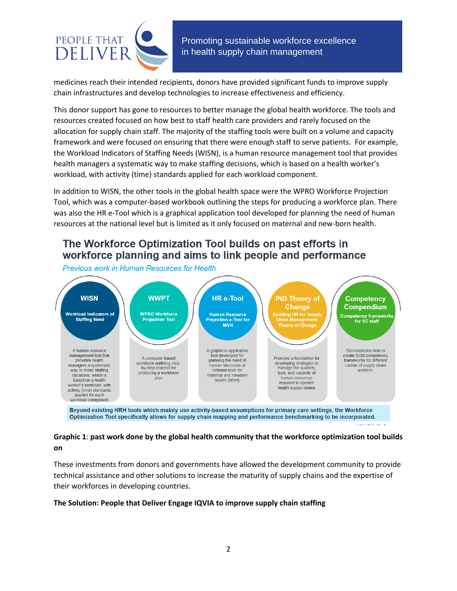

medicines reach their intended recipients, donors have provided significant funds to improve supply chain infrastructures and develop technologies to increase effectiveness and efficiency.

This donor support has gone to resources to better manage the global health workforce. The tools and resources created focused on how best to staff health care providers and rarely focused on the allocation for supply chain staff. The majority of the staffing tools were built on a volume and capacity framework and were focused on ensuring that there were enough staff to serve patients. For example, the Workload Indicators of Staffing Needs (WISN), is a human resource management tool that provides health managers a systematic way to make staffing decisions, which is based on a health worker's workload, with activity (time) standards applied for each workload component.

In addition to WISN, the other tools in the global health space were the WPRO Workforce Projection Tool, which was a computer-based workbook outlining the steps for producing a workforce plan. There was also the HR e-Tool which is a graphical application tool developed for planning the need of human resources at the national level but is limited as it only focused on maternal and new-born health.

# The Workforce Optimization Tool builds on past efforts in workforce planning and aims to link people and performance

Previous work in Human Resources for Health



Beyond existing HRH tools which mainly use activity-based assumptions for primary care settings, the Workforce Optimization Tool specifically allows for supply chain mapping and performance benchmarking to be incorporated.

### **Graphic 1**: **past work done by the global health community that the workforce optimization tool builds on**

These investments from donors and governments have allowed the development community to provide technical assistance and other solutions to increase the maturity of supply chains and the expertise of their workforces in developing countries.

#### **The Solution: People that Deliver Engage IQVIA to improve supply chain staffing**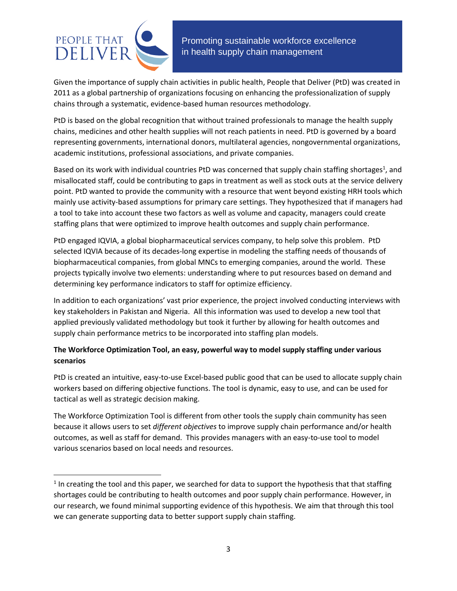

l

 Promoting sustainable workforce excellence in health supply chain management

Given the importance of supply chain activities in public health, People that Deliver (PtD) was created in 2011 as a global partnership of organizations focusing on enhancing the professionalization of supply chains through a systematic, evidence-based human resources methodology.

PtD is based on the global recognition that without trained professionals to manage the health supply chains, medicines and other health supplies will not reach patients in need. PtD is governed by a board representing governments, international donors, multilateral agencies, nongovernmental organizations, academic institutions, professional associations, and private companies.

Based on its work with individual countries PtD was concerned that supply chain staffing shortages<sup>1</sup>, and misallocated staff, could be contributing to gaps in treatment as well as stock outs at the service delivery point. PtD wanted to provide the community with a resource that went beyond existing HRH tools which mainly use activity-based assumptions for primary care settings. They hypothesized that if managers had a tool to take into account these two factors as well as volume and capacity, managers could create staffing plans that were optimized to improve health outcomes and supply chain performance.

PtD engaged IQVIA, a global biopharmaceutical services company, to help solve this problem. PtD selected IQVIA because of its decades-long expertise in modeling the staffing needs of thousands of biopharmaceutical companies, from global MNCs to emerging companies, around the world. These projects typically involve two elements: understanding where to put resources based on demand and determining key performance indicators to staff for optimize efficiency.

In addition to each organizations' vast prior experience, the project involved conducting interviews with key stakeholders in Pakistan and Nigeria. All this information was used to develop a new tool that applied previously validated methodology but took it further by allowing for health outcomes and supply chain performance metrics to be incorporated into staffing plan models.

### **The Workforce Optimization Tool, an easy, powerful way to model supply staffing under various scenarios**

PtD is created an intuitive, easy-to-use Excel-based public good that can be used to allocate supply chain workers based on differing objective functions. The tool is dynamic, easy to use, and can be used for tactical as well as strategic decision making.

The Workforce Optimization Tool is different from other tools the supply chain community has seen because it allows users to set *different objectives* to improve supply chain performance and/or health outcomes, as well as staff for demand. This provides managers with an easy-to-use tool to model various scenarios based on local needs and resources.

 $<sup>1</sup>$  In creating the tool and this paper, we searched for data to support the hypothesis that that staffing</sup> shortages could be contributing to health outcomes and poor supply chain performance. However, in our research, we found minimal supporting evidence of this hypothesis. We aim that through this tool we can generate supporting data to better support supply chain staffing.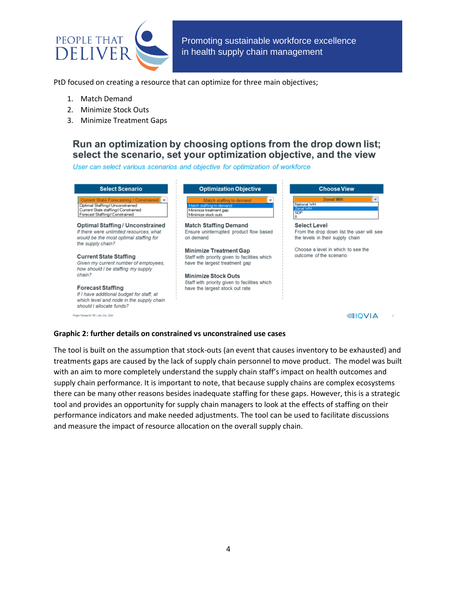

PtD focused on creating a resource that can optimize for three main objectives;

- 1. Match Demand
- 2. Minimize Stock Outs
- 3. Minimize Treatment Gaps

## Run an optimization by choosing options from the drop down list; select the scenario, set your optimization objective, and the view

User can select various scenarios and objective for optimization of workforce

| <b>Select Scenario</b>                                                                                                                                 | <b>Optimization Objective</b>                                                                                    | <b>Choose View</b>                                                            |
|--------------------------------------------------------------------------------------------------------------------------------------------------------|------------------------------------------------------------------------------------------------------------------|-------------------------------------------------------------------------------|
| Current State Forecasting / Constrained<br>Optimal Staffing / Unconstrained<br>Current State staffing / Constrained<br>Forecast Staffing / Constrained | Match staffing to demand<br>Match staffing to demand<br>Minimize treatment gap<br>Minimize stock outs            | <b>Zonal WH</b><br>National WH<br>Zonal WH<br><b>SDP</b>                      |
| <b>Optimal Staffing / Unconstrained</b>                                                                                                                | <b>Match Staffing Demand</b>                                                                                     | Select Level                                                                  |
| If there were unlimited resources, what<br>would be the most optimal staffing for<br>the supply chain?                                                 | Ensure uninterrupted product flow based<br>on demand                                                             | From the drop down list the user will see<br>the levels in their supply chain |
| <b>Current State Staffing</b><br>Given my current number of employees,<br>how should I be staffing my supply                                           | <b>Minimize Treatment Gap</b><br>Staff with priority given to facilities which<br>have the largest treatment gap | Choose a level in which to see the<br>outcome of the scenario                 |
| chain?                                                                                                                                                 | <b>Minimize Stock Outs</b>                                                                                       |                                                                               |
| <b>Forecast Staffing</b><br>If I have additional budget for staff, at<br>which level and node in the supply chain<br>should I allocate funds?          | Staff with priority given to facilities which<br>have the largest stock out rate                                 |                                                                               |
| Project Review for PID   Jan 21st 2020                                                                                                                 |                                                                                                                  |                                                                               |

#### **Graphic 2: further details on constrained vs unconstrained use cases**

The tool is built on the assumption that stock-outs (an event that causes inventory to be exhausted) and treatments gaps are caused by the lack of supply chain personnel to move product. The model was built with an aim to more completely understand the supply chain staff's impact on health outcomes and supply chain performance. It is important to note, that because supply chains are complex ecosystems there can be many other reasons besides inadequate staffing for these gaps. However, this is a strategic tool and provides an opportunity for supply chain managers to look at the effects of staffing on their performance indicators and make needed adjustments. The tool can be used to facilitate discussions and measure the impact of resource allocation on the overall supply chain.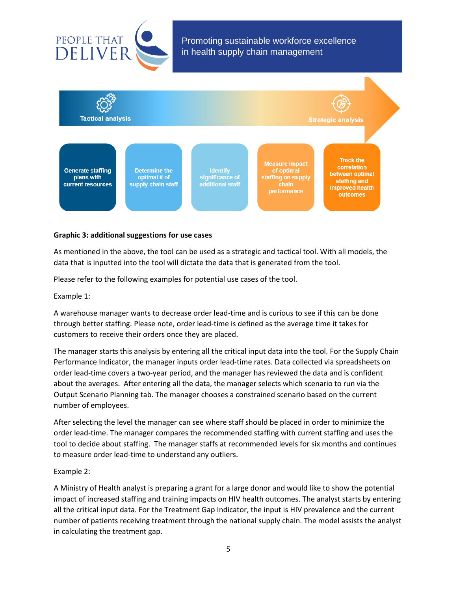



#### **Graphic 3: additional suggestions for use cases**

As mentioned in the above, the tool can be used as a strategic and tactical tool. With all models, the data that is inputted into the tool will dictate the data that is generated from the tool.

Please refer to the following examples for potential use cases of the tool.

Example 1:

A warehouse manager wants to decrease order lead-time and is curious to see if this can be done through better staffing. Please note, order lead-time is defined as the average time it takes for customers to receive their orders once they are placed.

The manager starts this analysis by entering all the critical input data into the tool. For the Supply Chain Performance Indicator, the manager inputs order lead-time rates. Data collected via spreadsheets on order lead-time covers a two-year period, and the manager has reviewed the data and is confident about the averages. After entering all the data, the manager selects which scenario to run via the Output Scenario Planning tab. The manager chooses a constrained scenario based on the current number of employees.

After selecting the level the manager can see where staff should be placed in order to minimize the order lead-time. The manager compares the recommended staffing with current staffing and uses the tool to decide about staffing. The manager staffs at recommended levels for six months and continues to measure order lead-time to understand any outliers.

#### Example 2:

A Ministry of Health analyst is preparing a grant for a large donor and would like to show the potential impact of increased staffing and training impacts on HIV health outcomes. The analyst starts by entering all the critical input data. For the Treatment Gap Indicator, the input is HIV prevalence and the current number of patients receiving treatment through the national supply chain. The model assists the analyst in calculating the treatment gap.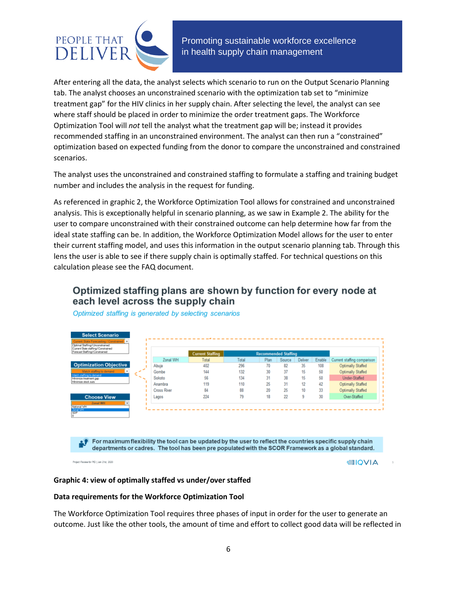

After entering all the data, the analyst selects which scenario to run on the Output Scenario Planning tab. The analyst chooses an unconstrained scenario with the optimization tab set to "minimize treatment gap" for the HIV clinics in her supply chain. After selecting the level, the analyst can see where staff should be placed in order to minimize the order treatment gaps. The Workforce Optimization Tool will *not* tell the analyst what the treatment gap will be; instead it provides recommended staffing in an unconstrained environment. The analyst can then run a "constrained" optimization based on expected funding from the donor to compare the unconstrained and constrained scenarios.

The analyst uses the unconstrained and constrained staffing to formulate a staffing and training budget number and includes the analysis in the request for funding.

As referenced in graphic 2, the Workforce Optimization Tool allows for constrained and unconstrained analysis. This is exceptionally helpful in scenario planning, as we saw in Example 2. The ability for the user to compare unconstrained with their constrained outcome can help determine how far from the ideal state staffing can be. In addition, the Workforce Optimization Model allows for the user to enter their current staffing model, and uses this information in the output scenario planning tab. Through this lens the user is able to see if there supply chain is optimally staffed. For technical questions on this calculation please see the FAQ document.

# Optimized staffing plans are shown by function for every node at each level across the supply chain



Optimized staffing is generated by selecting scenarios

departments or cadres. The tool has been pre populated with the SCOR Framework as a global standard.

Project Review for PID | Jan 21st, 2020

**allQVIA** 

#### **Graphic 4: view of optimally staffed vs under/over staffed**

#### **Data requirements for the Workforce Optimization Tool**

The Workforce Optimization Tool requires three phases of input in order for the user to generate an outcome. Just like the other tools, the amount of time and effort to collect good data will be reflected in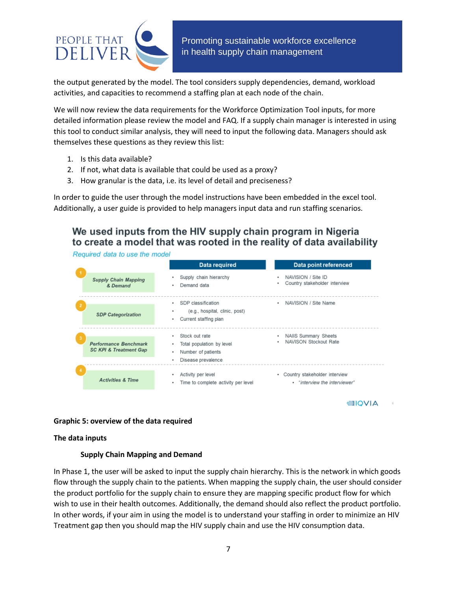

the output generated by the model. The tool considers supply dependencies, demand, workload activities, and capacities to recommend a staffing plan at each node of the chain.

We will now review the data requirements for the Workforce Optimization Tool inputs, for more detailed information please review the model and FAQ. If a supply chain manager is interested in using this tool to conduct similar analysis, they will need to input the following data. Managers should ask themselves these questions as they review this list:

- 1. Is this data available?
- 2. If not, what data is available that could be used as a proxy?
- 3. How granular is the data, i.e. its level of detail and preciseness?

In order to guide the user through the model instructions have been embedded in the excel tool. Additionally, a user guide is provided to help managers input data and run staffing scenarios.

# We used inputs from the HIV supply chain program in Nigeria to create a model that was rooted in the reality of data availability

Required data to use the model

|                  |                                                            | Data required                                                                                | Data point referenced                                               |
|------------------|------------------------------------------------------------|----------------------------------------------------------------------------------------------|---------------------------------------------------------------------|
| & Demand         | <b>Supply Chain Mapping</b>                                | Supply chain hierarchy<br>Demand data                                                        | NAVISION / Site ID<br>Country stakeholder interview<br>٠            |
|                  | <b>SDP Categorization</b>                                  | SDP classification<br>(e.g., hospital, clinic, post)<br>Current staffing plan                | • NAVISION / Site Name                                              |
| 3                | Performance Benchmark<br><b>SC KPI &amp; Treatment Gap</b> | Stock out rate<br>Total population by level<br>Number of patients<br>٠<br>Disease prevalence | • NAIIS Summary Sheets<br>NAVISON Stockout Rate<br>٠                |
| $\boldsymbol{A}$ | <b>Activities &amp; Time</b>                               | Activity per level<br>Time to complete activity per level                                    | Country stakeholder interview<br>٠<br>• "interview the interviewer" |

≡IQVIA

#### **Graphic 5: overview of the data required**

#### **The data inputs**

#### **Supply Chain Mapping and Demand**

In Phase 1, the user will be asked to input the supply chain hierarchy. This is the network in which goods flow through the supply chain to the patients. When mapping the supply chain, the user should consider the product portfolio for the supply chain to ensure they are mapping specific product flow for which wish to use in their health outcomes. Additionally, the demand should also reflect the product portfolio. In other words, if your aim in using the model is to understand your staffing in order to minimize an HIV Treatment gap then you should map the HIV supply chain and use the HIV consumption data.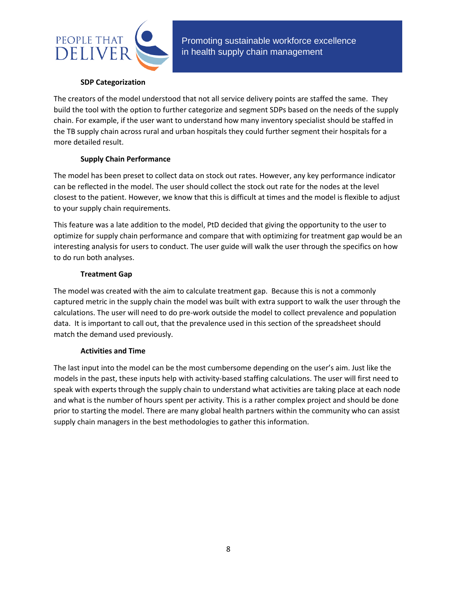

#### **SDP Categorization**

The creators of the model understood that not all service delivery points are staffed the same. They build the tool with the option to further categorize and segment SDPs based on the needs of the supply chain. For example, if the user want to understand how many inventory specialist should be staffed in the TB supply chain across rural and urban hospitals they could further segment their hospitals for a more detailed result.

### **Supply Chain Performance**

The model has been preset to collect data on stock out rates. However, any key performance indicator can be reflected in the model. The user should collect the stock out rate for the nodes at the level closest to the patient. However, we know that this is difficult at times and the model is flexible to adjust to your supply chain requirements.

This feature was a late addition to the model, PtD decided that giving the opportunity to the user to optimize for supply chain performance and compare that with optimizing for treatment gap would be an interesting analysis for users to conduct. The user guide will walk the user through the specifics on how to do run both analyses.

### **Treatment Gap**

The model was created with the aim to calculate treatment gap. Because this is not a commonly captured metric in the supply chain the model was built with extra support to walk the user through the calculations. The user will need to do pre-work outside the model to collect prevalence and population data. It is important to call out, that the prevalence used in this section of the spreadsheet should match the demand used previously.

### **Activities and Time**

The last input into the model can be the most cumbersome depending on the user's aim. Just like the models in the past, these inputs help with activity-based staffing calculations. The user will first need to speak with experts through the supply chain to understand what activities are taking place at each node and what is the number of hours spent per activity. This is a rather complex project and should be done prior to starting the model. There are many global health partners within the community who can assist supply chain managers in the best methodologies to gather this information.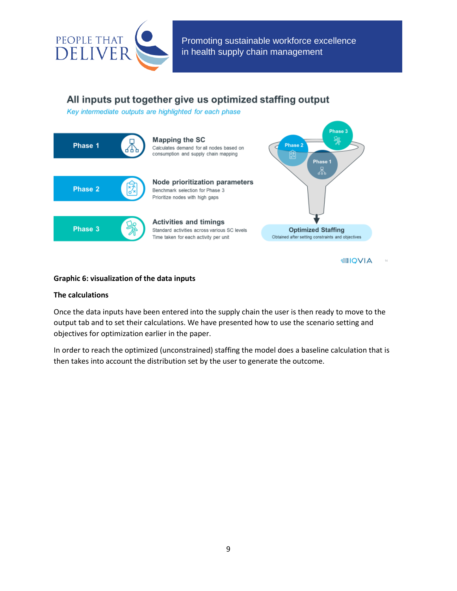

# All inputs put together give us optimized staffing output

Key intermediate outputs are highlighted for each phase



**Graphic 6: visualization of the data inputs**

#### **The calculations**

Once the data inputs have been entered into the supply chain the user is then ready to move to the output tab and to set their calculations. We have presented how to use the scenario setting and objectives for optimization earlier in the paper.

In order to reach the optimized (unconstrained) staffing the model does a baseline calculation that is then takes into account the distribution set by the user to generate the outcome.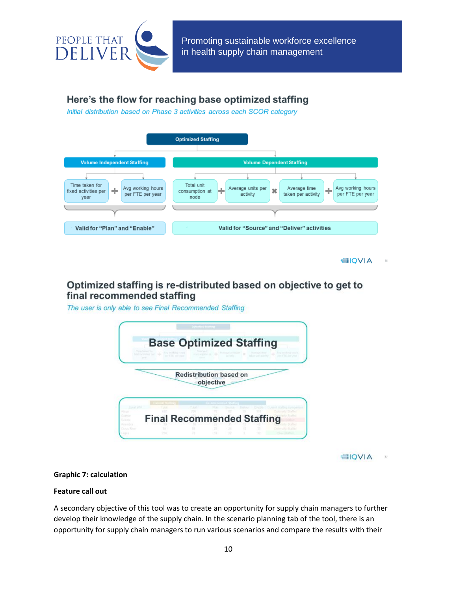

# Here's the flow for reaching base optimized staffing

Initial distribution based on Phase 3 activities across each SCOR category



**EIOVIA** 

# Optimized staffing is re-distributed based on objective to get to final recommended staffing

The user is only able to see Final Recommended Staffing



**EIQVIA**  $\partial T$ 

#### **Graphic 7: calculation**

#### **Feature call out**

A secondary objective of this tool was to create an opportunity for supply chain managers to further develop their knowledge of the supply chain. In the scenario planning tab of the tool, there is an opportunity for supply chain managers to run various scenarios and compare the results with their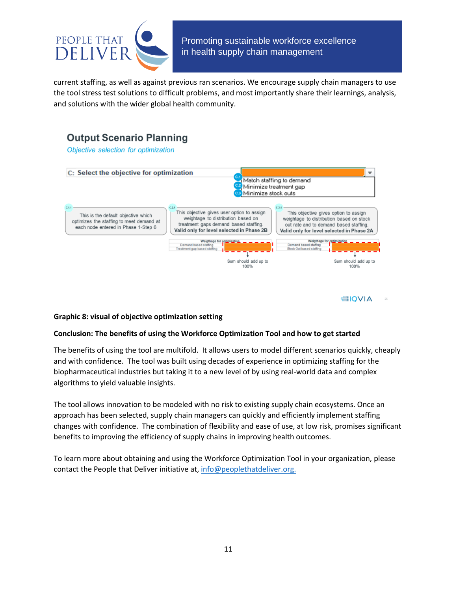

current staffing, as well as against previous ran scenarios. We encourage supply chain managers to use the tool stress test solutions to difficult problems, and most importantly share their learnings, analysis, and solutions with the wider global health community.



#### **Graphic 8: visual of objective optimization setting**

#### **Conclusion: The benefits of using the Workforce Optimization Tool and how to get started**

The benefits of using the tool are multifold. It allows users to model different scenarios quickly, cheaply and with confidence. The tool was built using decades of experience in optimizing staffing for the biopharmaceutical industries but taking it to a new level of by using real-world data and complex algorithms to yield valuable insights.

The tool allows innovation to be modeled with no risk to existing supply chain ecosystems. Once an approach has been selected, supply chain managers can quickly and efficiently implement staffing changes with confidence. The combination of flexibility and ease of use, at low risk, promises significant benefits to improving the efficiency of supply chains in improving health outcomes.

To learn more about obtaining and using the Workforce Optimization Tool in your organization, please contact the People that Deliver initiative at, [info@peoplethatdeliver.org.](mailto:info@peoplethatdeliver.org)